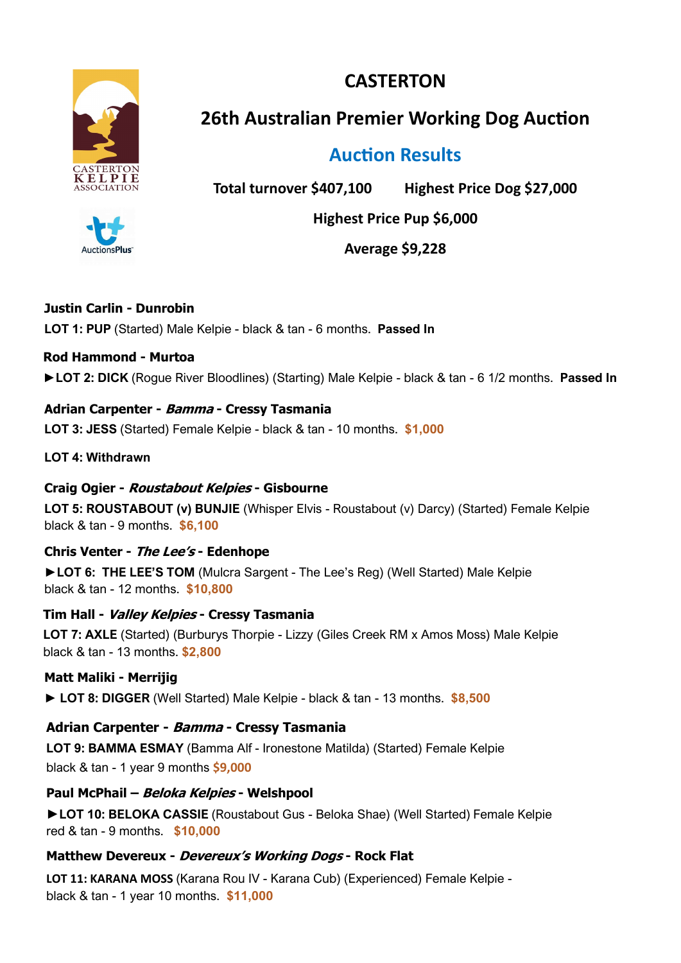



**26th Australian Premier Working Dog Auction**

# **Auction Results**

**Total turnover \$407,100 Highest Price Dog \$27,000** 

**Highest Price Pup \$6,000**

**Average \$9,228** 

# **Justin Carlin - Dunrobin**

**AuctionsPlus** 

**LOT 1: PUP** (Started) Male Kelpie - black & tan - 6 months. **Passed In** 

# **Rod Hammond - Murtoa**

**►LOT 2: DICK** (Rogue River Bloodlines) (Starting) Male Kelpie - black & tan - 6 1/2 months. **Passed In**

**Adrian Carpenter - Bamma - Cressy Tasmania LOT 3: JESS** (Started) Female Kelpie - black & tan - 10 months. **\$1,000**

**LOT 4: Withdrawn**

# **Craig Ogier - Roustabout Kelpies - Gisbourne**

**LOT 5: ROUSTABOUT (v) BUNJIE** (Whisper Elvis - Roustabout (v) Darcy) (Started) Female Kelpie black & tan - 9 months. **\$6,100**

**Chris Venter - The Lee'<sup>s</sup> - Edenhope** 

**►LOT 6: THE LEE'S TOM** (Mulcra Sargent - The Lee's Reg) (Well Started) Male Kelpie black & tan - 12 months. **\$10,800**

**Tim Hall - Valley Kelpies - Cressy Tasmania**

**LOT 7: AXLE** (Started) (Burburys Thorpie - Lizzy (Giles Creek RM x Amos Moss) Male Kelpie black & tan - 13 months. **\$2,800**

**Matt Maliki - Merrijig**

**► LOT 8: DIGGER** (Well Started) Male Kelpie - black & tan - 13 months. **\$8,500**

# **Adrian Carpenter - Bamma - Cressy Tasmania**

**LOT 9: BAMMA ESMAY** (Bamma Alf - Ironestone Matilda) (Started) Female Kelpie black & tan - 1 year 9 months **\$9,000**

**Paul McPhail – Beloka Kelpies - Welshpool**

**►LOT 10: BELOKA CASSIE** (Roustabout Gus - Beloka Shae) (Well Started) Female Kelpie red & tan - 9 months. **\$10,000**

# **Matthew Devereux - Devereux's Working Dogs - Rock Flat**

**LOT 11: KARANA MOSS** (Karana Rou IV - Karana Cub) (Experienced) Female Kelpie black & tan - 1 year 10 months. **\$11,000**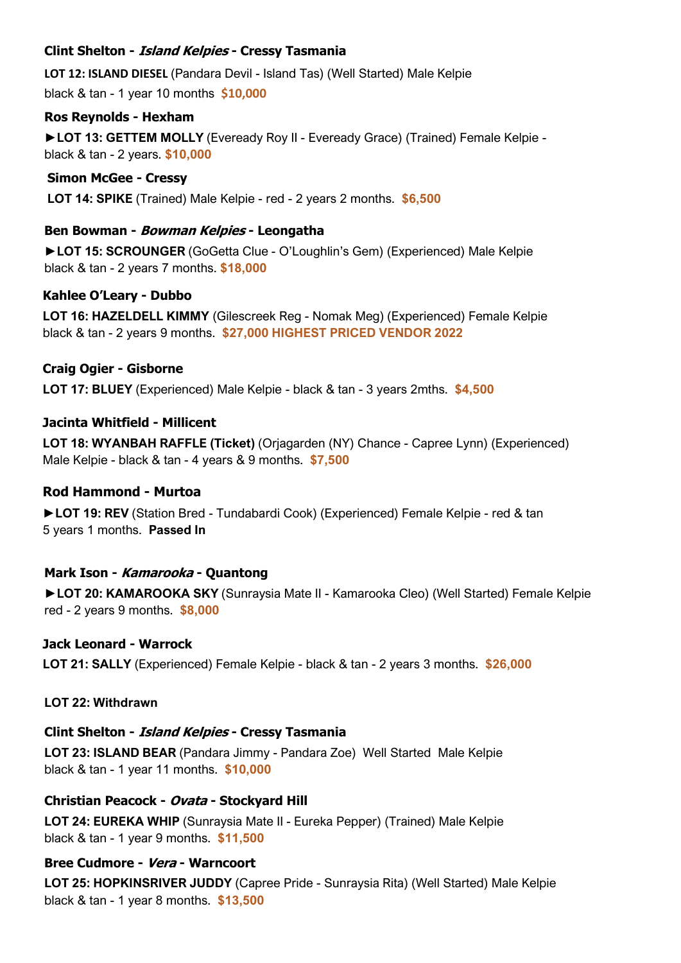# **Clint Shelton - Island Kelpies - Cressy Tasmania**

**LOT 12: ISLAND DIESEL** (Pandara Devil - Island Tas) (Well Started) Male Kelpie black & tan - 1 year 10 months **\$10,000**

# **Ros Reynolds - Hexham**

**►LOT 13: GETTEM MOLLY** (Eveready Roy II - Eveready Grace) (Trained) Female Kelpie black & tan - 2 years. **\$10,000**

# **Simon McGee - Cressy**

**LOT 14: SPIKE** (Trained) Male Kelpie - red - 2 years 2 months. **\$6,500**

# **Ben Bowman - Bowman Kelpies - Leongatha**

**►LOT 15: SCROUNGER** (GoGetta Clue - O'Loughlin's Gem) (Experienced) Male Kelpie black & tan - 2 years 7 months. **\$18,000**

# **Kahlee O'Leary - Dubbo**

**LOT 16: HAZELDELL KIMMY** (Gilescreek Reg - Nomak Meg) (Experienced) Female Kelpie black & tan - 2 years 9 months. **\$27,000 HIGHEST PRICED VENDOR 2022**

# **Craig Ogier - Gisborne**

**LOT 17: BLUEY** (Experienced) Male Kelpie - black & tan - 3 years 2mths. **\$4,500**

# **Jacinta Whitfield - Millicent**

**LOT 18: WYANBAH RAFFLE (Ticket)** (Orjagarden (NY) Chance - Capree Lynn) (Experienced) Male Kelpie - black & tan - 4 years & 9 months. **\$7,500**

# **Rod Hammond - Murtoa**

**►LOT 19: REV** (Station Bred - Tundabardi Cook) (Experienced) Female Kelpie - red & tan 5 years 1 months. **Passed In** 

# **Mark Ison - Kamarooka - Quantong**

**►LOT 20: KAMAROOKA SKY** (Sunraysia Mate II - Kamarooka Cleo) (Well Started) Female Kelpie red - 2 years 9 months. **\$8,000**

# **Jack Leonard - Warrock**

**LOT 21: SALLY** (Experienced) Female Kelpie - black & tan - 2 years 3 months. **\$26,000**

# **LOT 22: Withdrawn**

# **Clint Shelton - Island Kelpies - Cressy Tasmania**

**LOT 23: ISLAND BEAR** (Pandara Jimmy - Pandara Zoe) Well Started Male Kelpie black & tan - 1 year 11 months. **\$10,000**

# **Christian Peacock - Ovata - Stockyard Hill**

**LOT 24: EUREKA WHIP** (Sunraysia Mate II - Eureka Pepper) (Trained) Male Kelpie black & tan - 1 year 9 months. **\$11,500**

# **Bree Cudmore - Vera - Warncoort**

**LOT 25: HOPKINSRIVER JUDDY** (Capree Pride - Sunraysia Rita) (Well Started) Male Kelpie black & tan - 1 year 8 months. **\$13,500**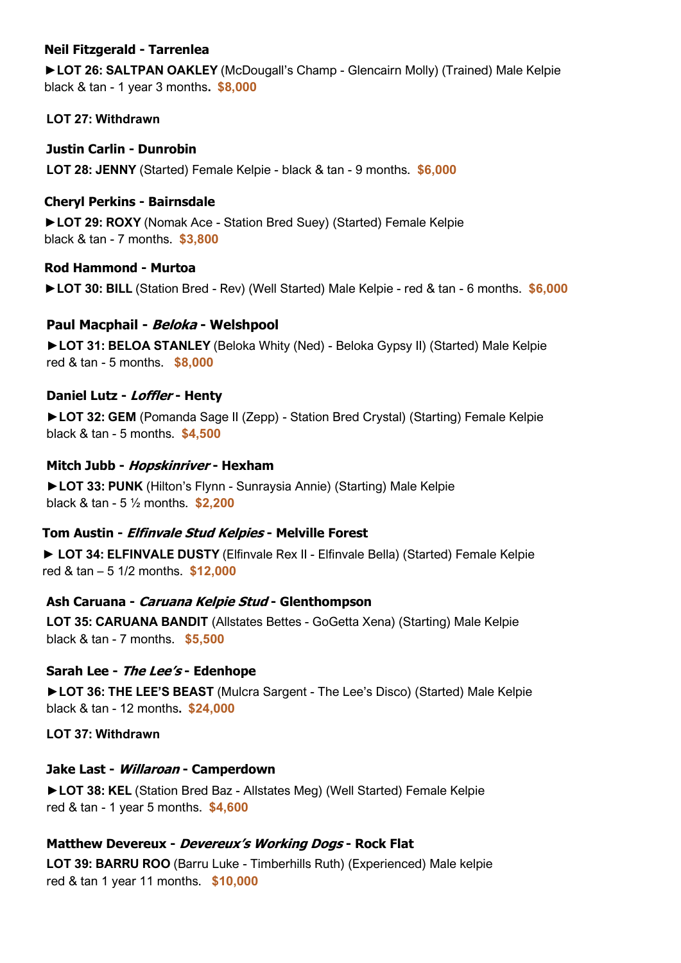# **Neil Fitzgerald - Tarrenlea**

**►LOT 26: SALTPAN OAKLEY** (McDougall's Champ - Glencairn Molly) (Trained) Male Kelpie black & tan - 1 year 3 months**. \$8,000**

**LOT 27: Withdrawn**

**Justin Carlin - Dunrobin LOT 28: JENNY** (Started) Female Kelpie - black & tan - 9 months. **\$6,000**

# **Cheryl Perkins - Bairnsdale**

**►LOT 29: ROXY** (Nomak Ace - Station Bred Suey) (Started) Female Kelpie black & tan - 7 months. **\$3,800**

#### **Rod Hammond - Murtoa**

**►LOT 30: BILL** (Station Bred - Rev) (Well Started) Male Kelpie - red & tan - 6 months. **\$6,000**

#### **Paul Macphail - Beloka - Welshpool**

**►LOT 31: BELOA STANLEY** (Beloka Whity (Ned) - Beloka Gypsy II) (Started) Male Kelpie red & tan - 5 months. **\$8,000**

#### **Daniel Lutz - Loffler - Henty**

**►LOT 32: GEM** (Pomanda Sage II (Zepp) - Station Bred Crystal) (Starting) Female Kelpie black & tan - 5 months. **\$4,500**

#### **Mitch Jubb - Hopskinriver - Hexham**

**►LOT 33: PUNK** (Hilton's Flynn - Sunraysia Annie) (Starting) Male Kelpie black & tan - 5 ½ months. **\$2,200**

# **Tom Austin - Elfinvale Stud Kelpies - Melville Forest**

**► LOT 34: ELFINVALE DUSTY** (Elfinvale Rex II - Elfinvale Bella) (Started) Female Kelpie red & tan – 5 1/2 months. **\$12,000**

#### **Ash Caruana - Caruana Kelpie Stud - Glenthompson**

**LOT 35: CARUANA BANDIT** (Allstates Bettes - GoGetta Xena) (Starting) Male Kelpie black & tan - 7 months. **\$5,500**

#### **Sarah Lee - The Lee's - Edenhope**

**►LOT 36: THE LEE'S BEAST** (Mulcra Sargent - The Lee's Disco) (Started) Male Kelpie black & tan - 12 months**. \$24,000**

**LOT 37: Withdrawn**

#### **Jake Last - Willaroan - Camperdown**

**►LOT 38: KEL** (Station Bred Baz - Allstates Meg) (Well Started) Female Kelpie red & tan - 1 year 5 months. **\$4,600**

# **Matthew Devereux - Devereux's Working Dogs - Rock Flat**

**LOT 39: BARRU ROO** (Barru Luke - Timberhills Ruth) (Experienced) Male kelpie red & tan 1 year 11 months. **\$10,000**